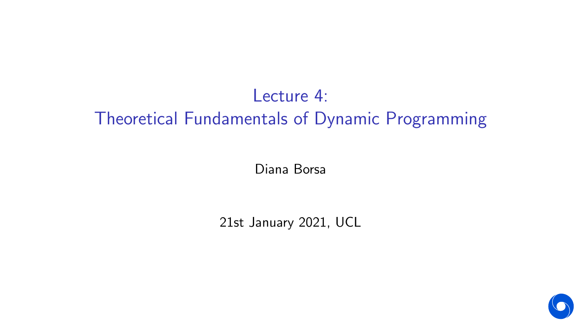# Lecture 4: Theoretical Fundamentals of Dynamic Programming

Diana Borsa

21st January 2021, UCL

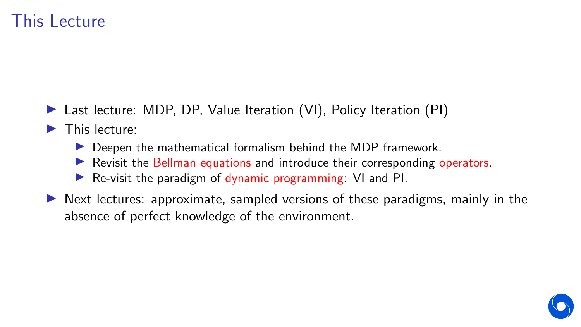## This Lecture

- ▶ Last lecture: MDP, DP, Value Iteration (VI), Policy Iteration (PI)
- $\blacktriangleright$  This lecture:
	- $\triangleright$  Deepen the mathematical formalism behind the MDP framework.
	- **In Revisit the Bellman equations and introduce their corresponding operators.**
	- Re-visit the paradigm of dynamic programming: VI and PI.
- $\triangleright$  Next lectures: approximate, sampled versions of these paradigms, mainly in the absence of perfect knowledge of the environment.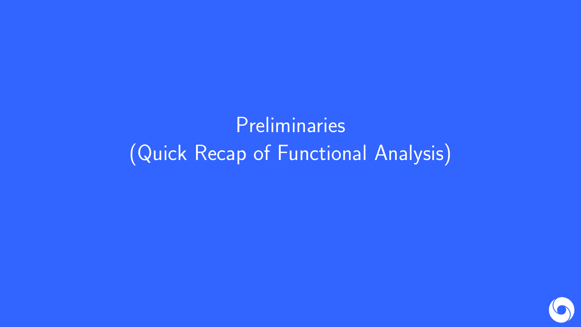# **Preliminaries** (Quick Recap of Functional Analysis)

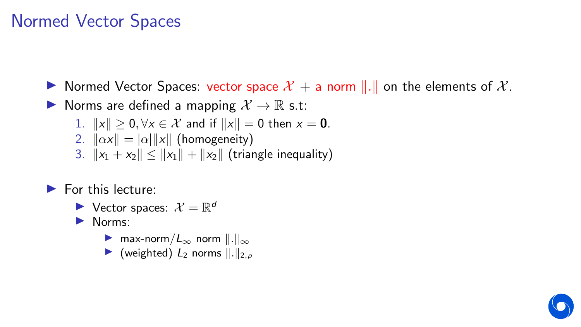## Normed Vector Spaces

In Normed Vector Spaces: vector space  $\mathcal{X}$  + a norm  $\|\cdot\|$  on the elements of  $\mathcal{X}$ .

▶ Norms are defined a mapping  $\mathcal{X} \to \mathbb{R}$  s.t:

- 1.  $||x|| > 0$ ,  $\forall x \in \mathcal{X}$  and if  $||x|| = 0$  then  $x = 0$ .
- 2.  $\|\alpha x\| = |\alpha| \|x\|$  (homogeneity)
- 3.  $||x_1 + x_2|| \le ||x_1|| + ||x_2||$  (triangle inequality)

### $\blacktriangleright$  For this lecture:

 $\blacktriangleright$  Vector spaces:  $\mathcal{X} = \mathbb{R}^d$ 

 $\blacktriangleright$  Norms:

- **I** max-norm  $|L_{\infty}$  norm  $||.||_{\infty}$
- $\triangleright$  (weighted)  $L_2$  norms  $\Vert . \Vert_{2,\rho}$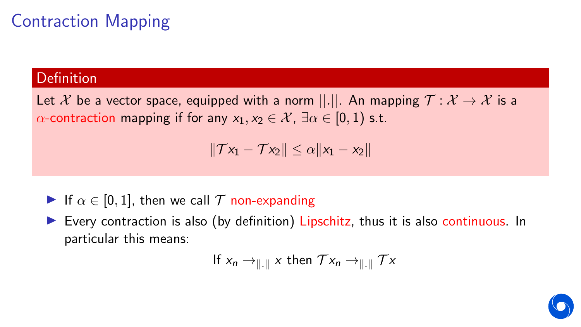# Contraction Mapping

### **Definition**

Let X be a vector space, equipped with a norm  $||.||.$  An mapping  $\mathcal{T} : \mathcal{X} \to \mathcal{X}$  is a  $\alpha$ -contraction mapping if for any  $x_1, x_2 \in \mathcal{X}$ ,  $\exists \alpha \in [0, 1)$  s.t.

$$
\|\mathcal{T}x_1-\mathcal{T}x_2\|\leq \alpha\|x_1-x_2\|
$$

- If  $\alpha \in [0, 1]$ , then we call T non-expanding
- Every contraction is also (by definition) Lipschitz, thus it is also continuous. In particular this means:

If 
$$
x_n \to \parallel \parallel x
$$
 then  $\mathcal{T}x_n \to \parallel \parallel \mathcal{T}x$ 

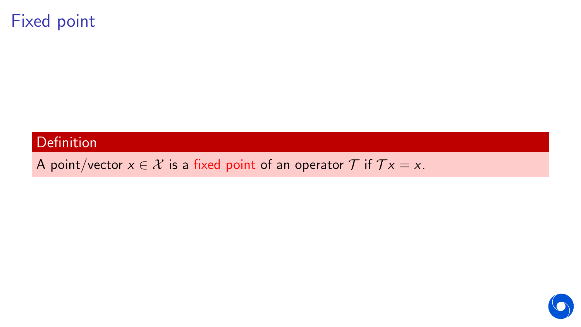## Fixed point

### **Definition**

A point/vector  $x \in \mathcal{X}$  is a fixed point of an operator  $\mathcal{T}$  if  $\mathcal{T} x = x$ .

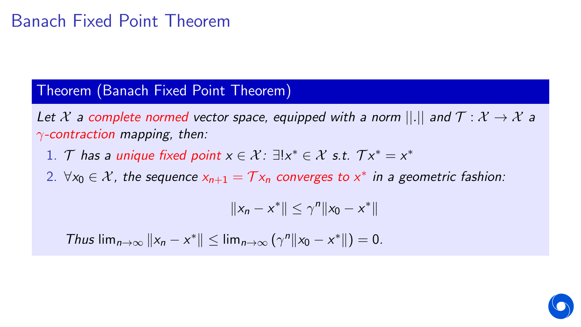#### Theorem (Banach Fixed Point Theorem)

Let X a complete normed vector space, equipped with a norm  $||.||$  and  $\mathcal{T}: \mathcal{X} \to \mathcal{X}$  a  $\gamma$ -contraction mapping, then:

- 1. T has a unique fixed point  $x \in \mathcal{X}$ :  $\exists! x^* \in \mathcal{X}$  s.t.  $\mathcal{T} x^* = x^*$
- 2. ∀ $x_0 \in \mathcal{X}$ , the sequence  $x_{n+1} = \mathcal{T} x_n$  converges to  $x^*$  in a geometric fashion:

$$
||x_n - x^*|| \leq \gamma^n ||x_0 - x^*||
$$

*Thus*  $\lim_{n\to\infty}$   $||x_n - x^*|| \leq \lim_{n\to\infty} (\gamma^n ||x_0 - x^*||) = 0.$ 

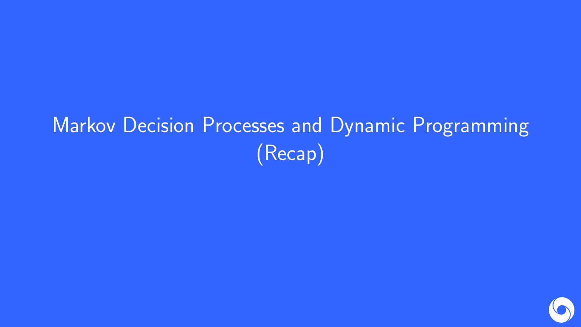# Markov Decision Processes and Dynamic Programming (Recap)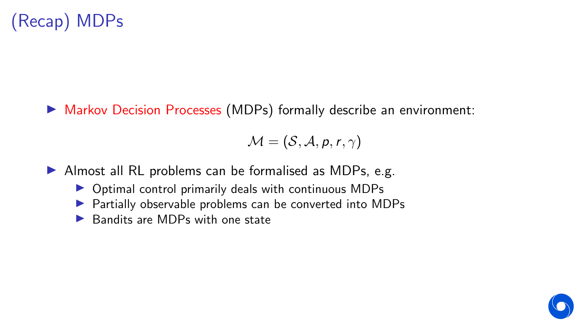▶ Markov Decision Processes (MDPs) formally describe an environment:

 $M = (S, A, p, r, \gamma)$ 

- $\blacktriangleright$  Almost all RL problems can be formalised as MDPs, e.g.
	- $\triangleright$  Optimal control primarily deals with continuous MDPs
	- $\triangleright$  Partially observable problems can be converted into MDPs
	- $\blacktriangleright$  Bandits are MDPs with one state

$$
\bullet
$$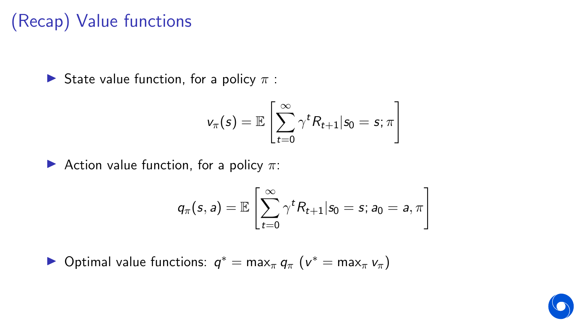# (Recap) Value functions

State value function, for a policy  $\pi$ :

$$
v_\pi(s) = \mathbb{E}\left[\sum_{t=0}^\infty \gamma^t R_{t+1} | s_0 = s; \pi\right]
$$

Action value function, for a policy  $\pi$ :

$$
q_\pi(s,a) = \mathbb{E}\left[\sum_{t=0}^\infty \gamma^t R_{t+1} | s_0 = s; a_0 = a, \pi\right]
$$

▶ Optimal value functions:  $q^* = \max_{\pi} q_{\pi} (v^* = \max_{\pi} v_{\pi})$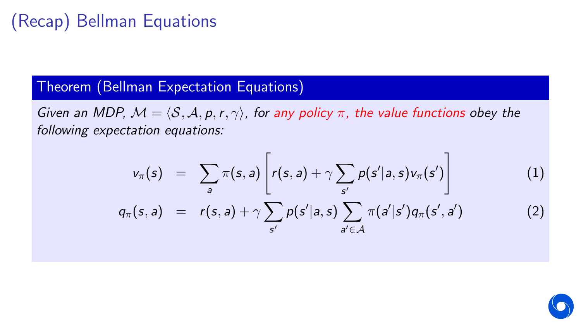# (Recap) Bellman Equations

### Theorem (Bellman Expectation Equations)

Given an MDP,  $M = \langle S, A, p, r, \gamma \rangle$ , for any policy π, the value functions obey the following expectation equations:

$$
v_{\pi}(s) = \sum_{a} \pi(s, a) \left[ r(s, a) + \gamma \sum_{s'} p(s'|a, s) v_{\pi}(s') \right]
$$
(1)  

$$
q_{\pi}(s, a) = r(s, a) + \gamma \sum_{s'} p(s'|a, s) \sum_{a' \in \mathcal{A}} \pi(a'|s') q_{\pi}(s', a')
$$
(2)

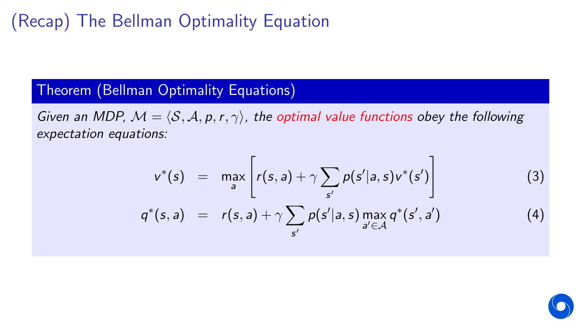# (Recap) The Bellman Optimality Equation

#### Theorem (Bellman Optimality Equations)

Given an MDP,  $M = \langle S, A, p, r, \gamma \rangle$ , the optimal value functions obey the following expectation equations:

$$
v^*(s) = \max_{a} \left[ r(s,a) + \gamma \sum_{s'} p(s'|a,s) v^*(s') \right]
$$
 (3)

$$
q^*(s, a) = r(s, a) + \gamma \sum_{s'} p(s'|a, s) \max_{a' \in \mathcal{A}} q^*(s', a')
$$
 (4)

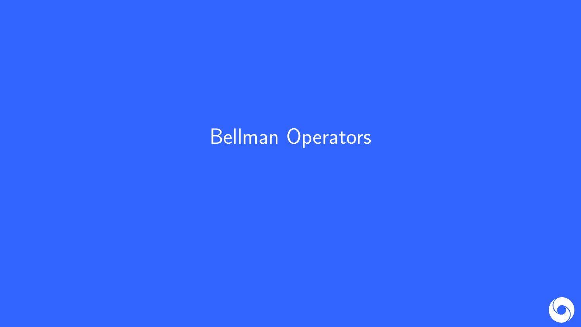# Bellman Operators

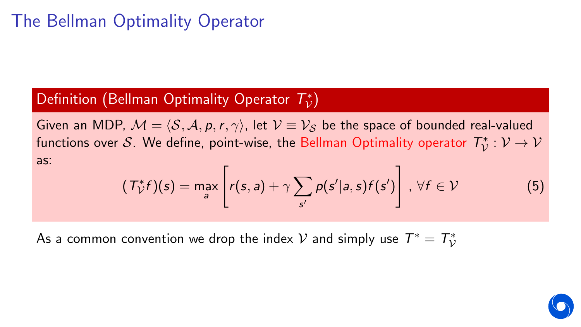## The Bellman Optimality Operator

# Definition (Bellman Optimality Operator  $T_{\mathcal{V}}^*$ )

Given an MDP,  $\mathcal{M} = \langle \mathcal{S}, \mathcal{A}, p, r, \gamma \rangle$ , let  $\mathcal{V} \equiv \mathcal{V}_\mathcal{S}$  be the space of bounded real-valued functions over  $\mathcal{S}.$  We define, point-wise, the Bellman Optimality operator  $\mathcal{T}^*_\mathcal{V}:\mathcal{V}\to\mathcal{V}$ as:

$$
(\mathcal{T}_{\mathcal{V}}^* f)(s) = \max_{a} \left[ r(s, a) + \gamma \sum_{s'} p(s'|a, s) f(s') \right], \ \forall f \in \mathcal{V}
$$
 (5)

As a common convention we drop the index  ${\mathcal V}$  and simply use  $\mathcal{T}^*=\mathcal{T}^*_{\mathcal V}$ 

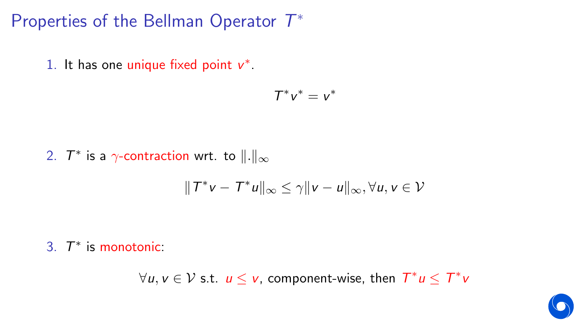Properties of the Bellman Operator  $\mathcal{T}^*$ 

1. It has one unique fixed point  $v^*$ .

$$
T^*v^*=v^*
$$

2.  $\mathcal{T}^*$  is a  $\gamma$ -contraction wrt. to  $\|.\|_\infty$ 

$$
\|T^*v - T^*u\|_{\infty} \leq \gamma \|v - u\|_{\infty}, \forall u, v \in \mathcal{V}
$$

3.  $T^*$  is monotonic:

 $\forall u, v \in V$  s.t.  $u \leq v$ , component-wise, then  $T^*u \leq T^*v$ 

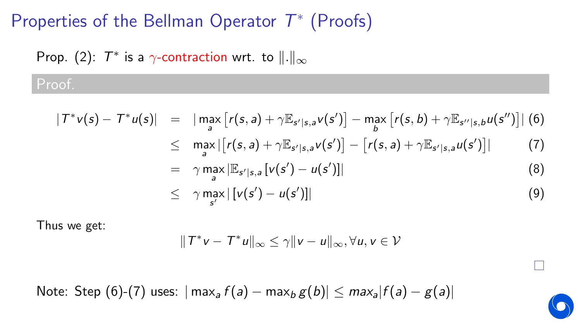## Properties of the Bellman Operator  $\mathcal{T}^*$  (Proofs)

# Prop. (2):  $\mathcal{T}^*$  is a  $\gamma$ -contraction wrt. to  $\|.\|_{\infty}$

## Proof.

$$
|T^*v(s) - T^*u(s)| = |\max_{a} [r(s, a) + \gamma \mathbb{E}_{s'|s, a} v(s')] - \max_{b} [r(s, b) + \gamma \mathbb{E}_{s''|s, b} u(s'')] | (6)
$$
  
\n
$$
\leq \max_{a} |[r(s, a) + \gamma \mathbb{E}_{s'|s, a} v(s')] - [r(s, a) + \gamma \mathbb{E}_{s'|s, a} u(s')] | (7)
$$
  
\n
$$
= \gamma \max_{a} |\mathbb{E}_{s'|s, a} [v(s') - u(s')] | (8)
$$
  
\n
$$
\leq \gamma \max_{s'} |[v(s') - u(s')] | (9)
$$

Thus we get:

$$
||T^*v - T^*u||_{\infty} \leq \gamma ||v - u||_{\infty}, \forall u, v \in V
$$

П

Note: Step (6)-(7) uses:  $|\max_a f(a) - \max_b g(b)| \leq max_a |f(a) - g(a)|$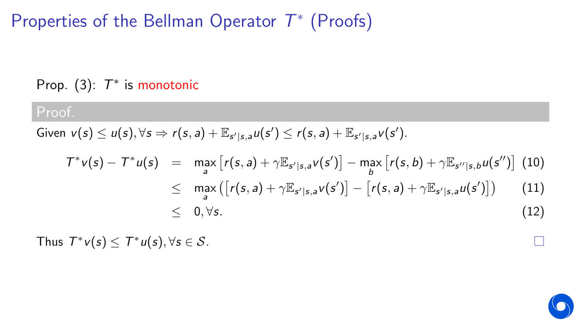# Properties of the Bellman Operator  $\mathcal{T}^*$  (Proofs)

Prop.  $(3)$ :  $T^*$  is monotonic

### Proof.

Given  $v(s) \leq u(s), \forall s \Rightarrow r(s, a) + \mathbb{E}_{s'|s,a}u(s') \leq r(s, a) + \mathbb{E}_{s'|s,a}v(s').$ 

$$
T^*v(s) - T^*u(s) = \max_{a} [r(s, a) + \gamma \mathbb{E}_{s'|s, a} v(s')] - \max_{b} [r(s, b) + \gamma \mathbb{E}_{s''|s, b} u(s'')] \quad (10)
$$
  
\n
$$
\leq \max_{a} ([r(s, a) + \gamma \mathbb{E}_{s'|s, a} v(s')] - [r(s, a) + \gamma \mathbb{E}_{s'|s, a} u(s')]) \quad (11)
$$
  
\n
$$
\leq 0, \forall s.
$$

Thus  $T^*v(s) \leq T^*u(s), \forall s \in \mathcal{S}$ .

П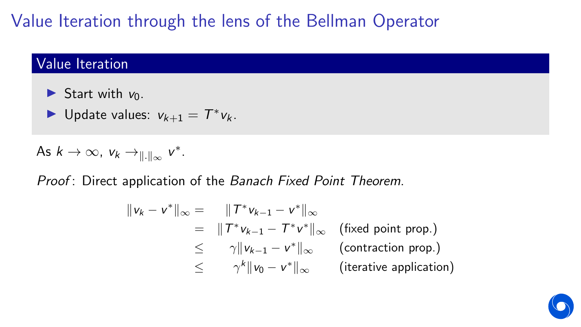# Value Iteration through the lens of the Bellman Operator

### Value Iteration

- Start with  $v_0$ .
- ▶ Update values:  $v_{k+1} = T^* v_k$ .

As 
$$
k \to \infty
$$
,  $v_k \to_{\|\cdot\|_{\infty}} v^*$ .

Proof: Direct application of the Banach Fixed Point Theorem.

$$
\|v_k - v^*\|_{\infty} = \|T^* v_{k-1} - v^*\|_{\infty}
$$
  
\n
$$
= \|T^* v_{k-1} - T^* v^*\|_{\infty} \text{ (fixed point prop.)}
$$
  
\n
$$
\leq \gamma \|v_{k-1} - v^*\|_{\infty} \text{ (contraction prop.)}
$$
  
\n
$$
\leq \gamma^k \|v_0 - v^*\|_{\infty} \text{ (iterative application)}
$$

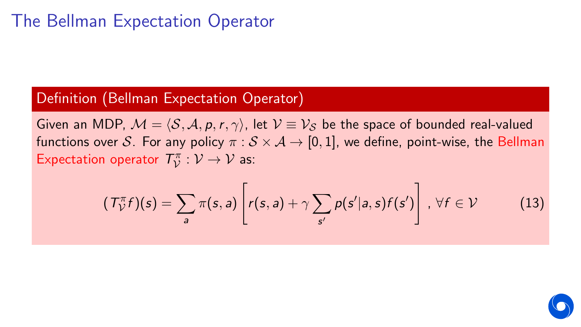## The Bellman Expectation Operator

### Definition (Bellman Expectation Operator)

Given an MDP,  $\mathcal{M} = \langle \mathcal{S}, \mathcal{A}, p, r, \gamma \rangle$ , let  $\mathcal{V} \equiv \mathcal{V}_\mathcal{S}$  be the space of bounded real-valued functions over S. For any policy  $\pi : S \times A \rightarrow [0, 1]$ , we define, point-wise, the Bellman Expectation operator  $T_{\mathcal{V}}^{\pi}$  $\psi^{\pi}:\mathcal{V}\to\mathcal{V}$  as:

$$
(\mathcal{T}_{\mathcal{V}}^{\pi}f)(s) = \sum_{a} \pi(s, a) \left[ r(s, a) + \gamma \sum_{s'} p(s'|a, s) f(s') \right], \forall f \in \mathcal{V}
$$
 (13)

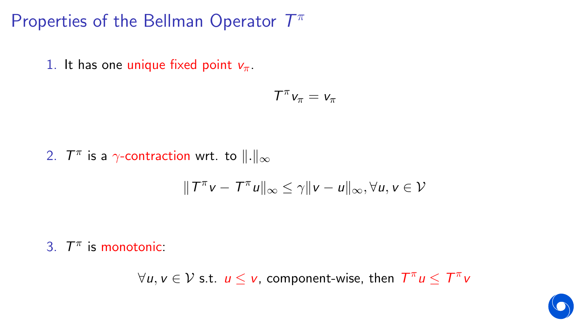Properties of the Bellman Operator  $T^{\pi}$ 

1. It has one unique fixed point  $v_{\pi}$ .

$$
\mathcal{T}^\pi v_\pi = v_\pi
$$

2.  $\mathcal{T}^{\pi}$  is a  $\gamma$ -contraction wrt. to  $\|.\|_{\infty}$ 

$$
\|T^{\pi}v - T^{\pi}u\|_{\infty} \leq \gamma \|v - u\|_{\infty}, \forall u, v \in \mathcal{V}
$$

3.  $T^{\pi}$  is monotonic:

 $\forall u, v \in V$  s.t.  $u \leq v$ , component-wise, then  $T^{\pi}u \leq T^{\pi}v$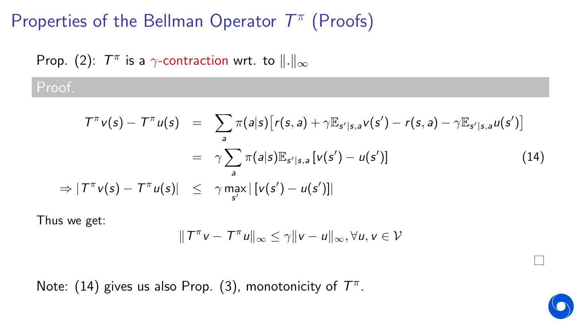# Properties of the Bellman Operator  $T^{\pi}$  (Proofs)

# Prop. (2):  $\mathcal{T}^{\pi}$  is a  $\gamma$ -contraction wrt. to  $\|.\|_{\infty}$

## Proof.

$$
T^{\pi}v(s) - T^{\pi}u(s) = \sum_{a} \pi(a|s) [r(s, a) + \gamma \mathbb{E}_{s'|s, a}v(s') - r(s, a) - \gamma \mathbb{E}_{s'|s, a}u(s')]
$$
  

$$
= \gamma \sum_{a} \pi(a|s) \mathbb{E}_{s'|s, a}[v(s') - u(s')]
$$
(14)  

$$
\Rightarrow |T^{\pi}v(s) - T^{\pi}u(s)| \leq \gamma \max_{s'} |[v(s') - u(s')]|
$$

Thus we get:

$$
\|T^{\pi}v - T^{\pi}u\|_{\infty} \leq \gamma \|v - u\|_{\infty}, \forall u, v \in V
$$

Note: (14) gives us also Prop. (3), monotonicity of  $T^{\pi}$ .



П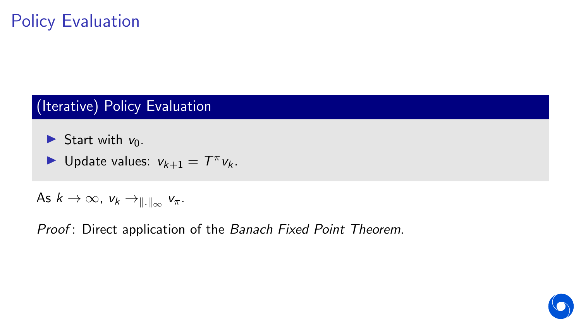# Policy Evaluation

## (Iterative) Policy Evaluation

Start with  $v_0$ .

• Update values: 
$$
v_{k+1} = T^{\pi} v_k
$$
.

As  $k \to \infty$ ,  $v_k \to_{\|\cdot\|_{\infty}} v_{\pi}$ .

Proof: Direct application of the Banach Fixed Point Theorem.

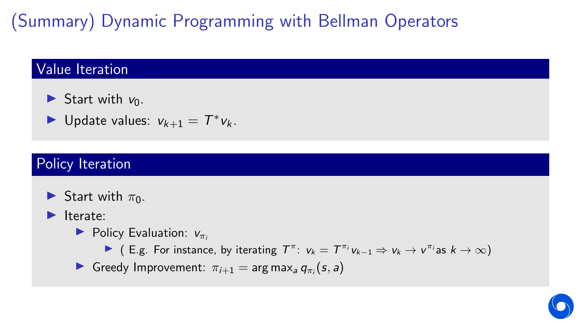# (Summary) Dynamic Programming with Bellman Operators

### Value Iteration

- Start with  $v_0$ .
- ▶ Update values:  $v_{k+1} = T^* v_k$ .

## Policy Iteration

- Start with  $\pi_0$ .
- $\blacktriangleright$  Iterate:
	- $\blacktriangleright$  Policy Evaluation:  $v_{\pi i}$ 
		- ► (E.g. For instance, by iterating  $T^{\pi}$ :  $v_k = T^{\pi_i}v_{k-1} \Rightarrow v_k \rightarrow v^{\pi_i}$  as  $k \rightarrow \infty$ )
	- **In** Greedy Improvement:  $\pi_{i+1} = \arg \max_a q_{\pi_i}(s, a)$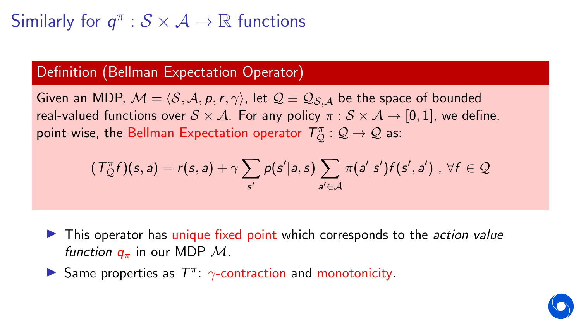# Similarly for  $q^{\pi} : \mathcal{S} \times \mathcal{A} \rightarrow \mathbb{R}$  functions

#### Definition (Bellman Expectation Operator)

Given an MDP,  $M = \langle S, A, p, r, \gamma \rangle$ , let  $\mathcal{Q} \equiv \mathcal{Q}_{S,A}$  be the space of bounded real-valued functions over  $S \times A$ . For any policy  $\pi : S \times A \rightarrow [0, 1]$ , we define, point-wise, the Bellman Expectation operator  $\mathcal{T}_{\mathcal{Q}}^{\pi}:\mathcal{Q}\to\mathcal{Q}$  as:

$$
(T_{\mathcal{Q}}^{\pi}f)(s,a) = r(s,a) + \gamma \sum_{s'} p(s'|a,s) \sum_{a' \in \mathcal{A}} \pi(a'|s')f(s',a') , \ \forall f \in \mathcal{Q}
$$

- $\blacktriangleright$  This operator has unique fixed point which corresponds to the *action-value function*  $q_{\pi}$  in our MDP  $\mathcal{M}$ .
- Same properties as  $T^{\pi}$ :  $\gamma$ -contraction and monotonicity.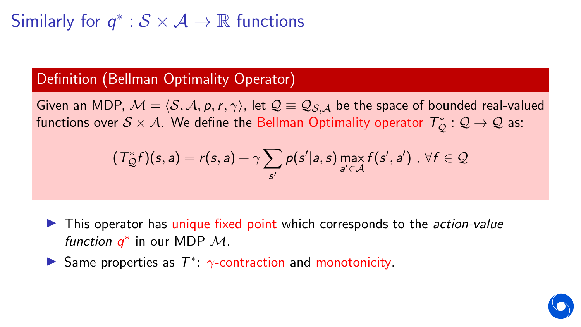# Similarly for  $q^*:\mathcal{S}\times\mathcal{A}\rightarrow\mathbb{R}$  functions

### Definition (Bellman Optimality Operator)

Given an MDP,  $\mathcal{M} = \langle \mathcal{S}, \mathcal{A}, p, r, \gamma \rangle$ , let  $\mathcal{Q} \equiv \mathcal{Q}_{\mathcal{S},\mathcal{A}}$  be the space of bounded real-valued functions over  $\mathcal{S} \times \mathcal{A}$ . We define the Bellman Optimality operator  $\mathcal{T}_{\mathcal{Q}}^*:\mathcal{Q}\to\mathcal{Q}$  as:

$$
(\mathcal{T}_{\mathcal{Q}}^*f)(s,a) = r(s,a) + \gamma \sum_{s'} p(s'|a,s) \max_{a' \in \mathcal{A}} f(s',a') , \forall f \in \mathcal{Q}
$$

 $\triangleright$  This operator has unique fixed point which corresponds to the *action-value* function  $q^*$  in our MDP  $\mathcal{M}$ .

Same properties as  $T^*$ :  $\gamma$ -contraction and monotonicity.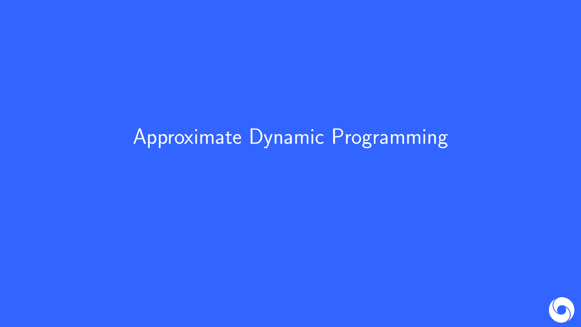# Approximate Dynamic Programming

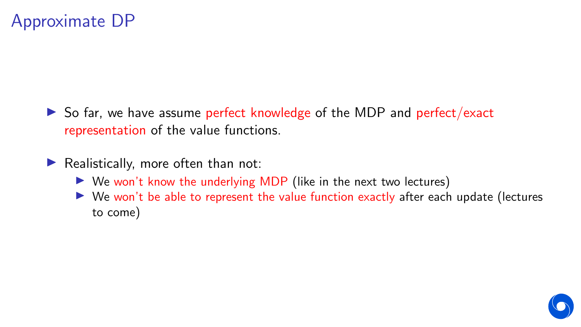- $\triangleright$  So far, we have assume perfect knowledge of the MDP and perfect/exact representation of the value functions.
- $\blacktriangleright$  Realistically, more often than not:
	- $\triangleright$  We won't know the underlying MDP (like in the next two lectures)
	- $\triangleright$  We won't be able to represent the value function exactly after each update (lectures to come)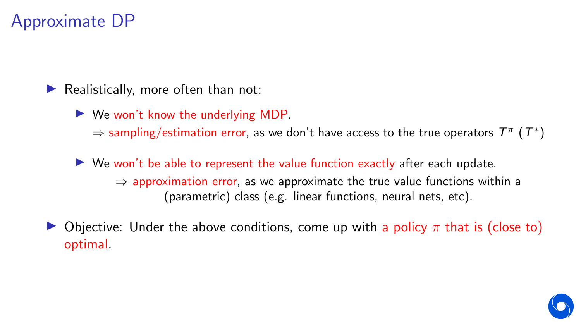## Approximate DP

Realistically, more often than not:

 $\triangleright$  We won't know the underlying MDP.

 $\Rightarrow$  sampling/estimation error, as we don't have access to the true operators  $T^{\pi}$   $(T^*)$ 

 $\triangleright$  We won't be able to represent the value function exactly after each update.  $\Rightarrow$  approximation error, as we approximate the true value functions within a (parametric) class (e.g. linear functions, neural nets, etc).

Objective: Under the above conditions, come up with a policy  $\pi$  that is (close to) optimal.

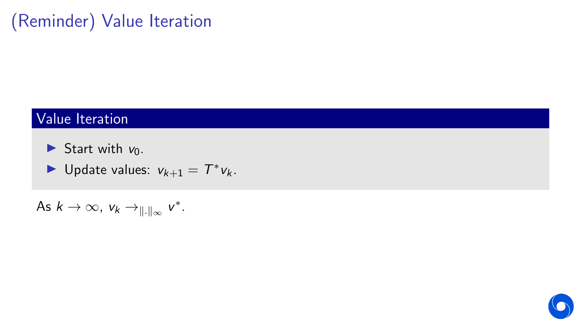# (Reminder) Value Iteration

## Value Iteration

- Start with  $v_0$ .
- ▶ Update values:  $v_{k+1} = T^* v_k$ .

As  $k \to \infty$ ,  $v_k \to_{\|\cdot\|_{\infty}} v^*$ .

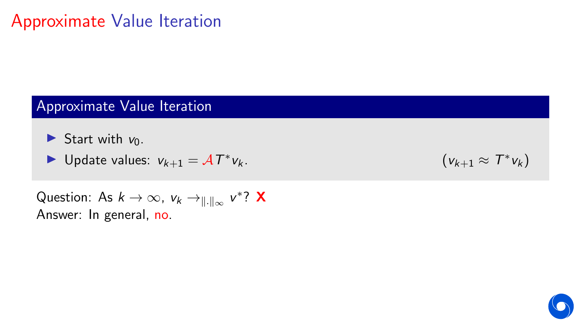## Approximate Value Iteration

## Approximate Value Iteration

Start with  $v_0$ .

$$
\blacktriangleright \text{ Update values: } v_{k+1} = \mathcal{A}T^*v_k.
$$

$$
V_k. \t\t\t (V_{k+1} \approx T^*V_k)
$$

Question: As  $k\to\infty$ ,  $v_k\to_{\|\cdot\|_\infty} v^*$ ? X Answer: In general, no.

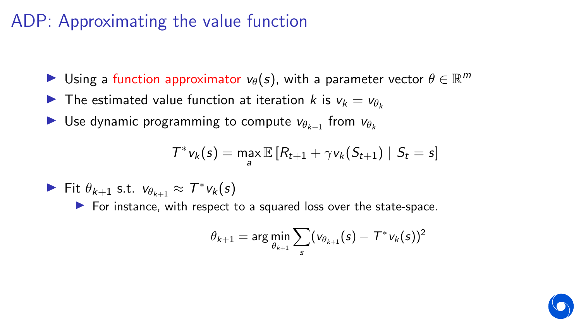## ADP: Approximating the value function

- $\blacktriangleright$  Using a function approximator  $v_\theta(s)$ , with a parameter vector  $\theta \in \mathbb{R}^m$
- **I** The estimated value function at iteration k is  $v_k = v_{\theta_k}$
- **If** Use dynamic programming to compute  $v_{\theta_{k+1}}$  from  $v_{\theta_k}$

$$
\mathcal{T}^* v_k(s) = \max_{a} \mathbb{E}\left[R_{t+1} + \gamma v_k(S_{t+1}) \mid S_t = s\right]
$$

$$
\blacktriangleright
$$
 Fit  $\theta_{k+1}$  s.t.  $v_{\theta_{k+1}} \approx T^* v_k(s)$ 

 $\blacktriangleright$  For instance, with respect to a squared loss over the state-space.

$$
\theta_{k+1} = \arg\min_{\theta_{k+1}} \sum_{s} (\mathsf{v}_{\theta_{k+1}}(s) - \mathcal{T}^* \mathsf{v}_k(s))^2
$$

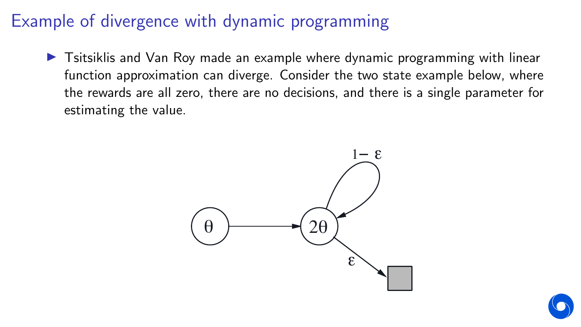## Example of divergence with dynamic programming

In Tsitsiklis and Van Roy made an example where dynamic programming with linear function approximation can diverge. Consider the two state example below, where the rewards are all zero, there are no decisions, and there is a single parameter for<br>24 CHAPTER 11. OFF-POLICIA estimating the value.



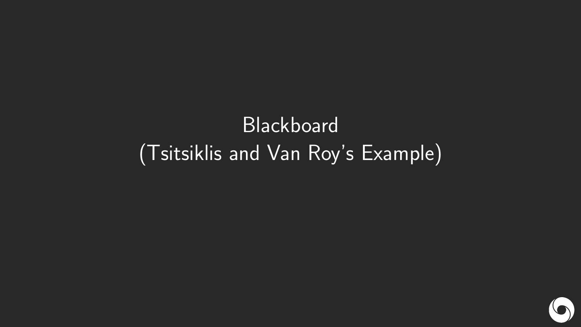# **Blackboard** (Tsitsiklis and Van Roy's Example)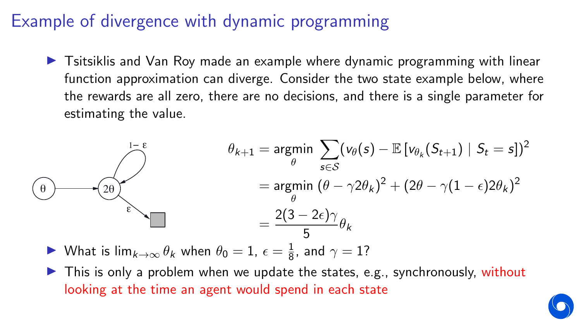## Example of divergence with dynamic programming

 $\triangleright$  Tsitsiklis and Van Roy made an example where dynamic programming with linear function approximation can diverge. Consider the two state example below, where the rewards are all zero, there are no decisions, and there is a single parameter for estimating the value.



- ▶ What is lim $_{k\to\infty}$   $\theta_k$  when  $\theta_0 = 1$ ,  $\epsilon = \frac{1}{8}$ , squares linear function approximation.  $\frac{1}{8}$ , and  $\gamma=1$ ?
- looking at the time an agent would spend in each state In This is only a problem when we update the states, e.g., synchronously, without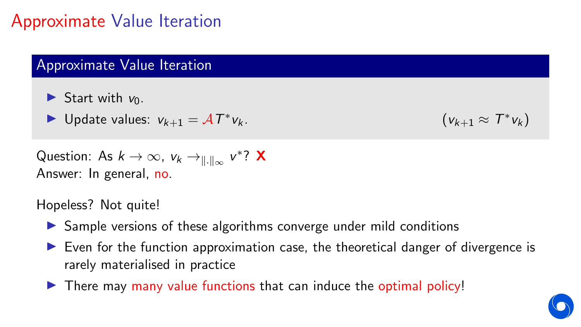## Approximate Value Iteration

## Approximate Value Iteration

- Start with  $v_0$ .
- ► Update values:  $v_{k+1} = \mathcal{A}T^*$

$$
V_k. \t\t\t (V_{k+1} \approx T^*V_k)
$$

Question: As  $k\to\infty$ ,  $v_k\to_{\|\cdot\|_\infty} v^*$ ? X Answer: In general, no.

Hopeless? Not quite!

- **In Sample versions of these algorithms converge under mild conditions**
- $\triangleright$  Even for the function approximation case, the theoretical danger of divergence is rarely materialised in practice
- $\triangleright$  There may many value functions that can induce the optimal policy!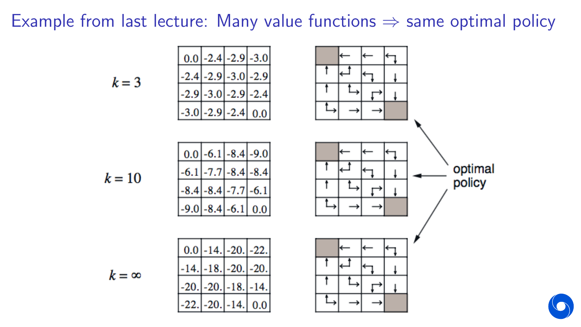## Example from last lecture: Many value functions  $\Rightarrow$  same optimal policy

$$
k=10
$$

 $k=3$ 

$$
k = \infty
$$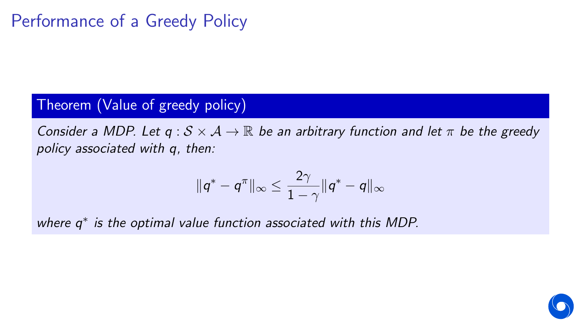## Performance of a Greedy Policy

### Theorem (Value of greedy policy)

Consider a MDP. Let  $q : S \times A \rightarrow \mathbb{R}$  be an arbitrary function and let  $\pi$  be the greedy policy associated with q, then:

$$
\|q^* - q^{\pi}\|_{\infty} \leq \frac{2\gamma}{1-\gamma} \|q^* - q\|_{\infty}
$$

where  $q^*$  is the optimal value function associated with this MDP.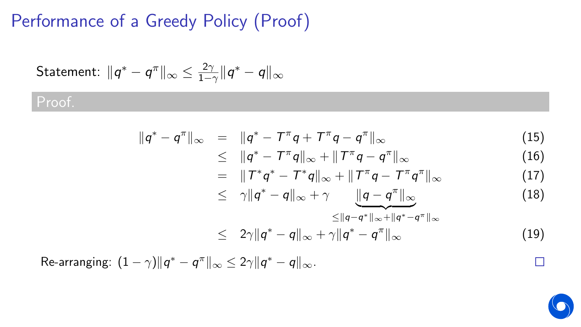# Performance of a Greedy Policy (Proof)

Statement: 
$$
||q^* - q^{\pi}||_{\infty} \le \frac{2\gamma}{1-\gamma} ||q^* - q||_{\infty}
$$

## Proof.

$$
\|q^* - q^{\pi}\|_{\infty} = \|q^* - T^{\pi}q + T^{\pi}q - q^{\pi}\|_{\infty}
$$
\n(15)

$$
\leq \quad \Vert q^* - T^{\pi} q \Vert_{\infty} + \Vert T^{\pi} q - q^{\pi} \Vert_{\infty} \tag{16}
$$

$$
= \|T^*q^* - T^*q\|_{\infty} + \|T^{\pi}q - T^{\pi}q^{\pi}\|_{\infty}
$$
 (17)

$$
\leq \quad \gamma \|q^* - q\|_{\infty} + \gamma \underbrace{\|q - q^*\|_{\infty}}_{\leq \|q - q^*\|_{\infty} + \|q^* - q^*\|_{\infty}} \tag{18}
$$

$$
\leq 2\gamma \|q^* - q\|_{\infty} + \gamma \|q^* - q^{\pi}\|_{\infty} \tag{19}
$$

Re-arranging:  $(1 - \gamma) \|q^* - q^{\pi}\|_{\infty} \leq 2\gamma \|q^* - q\|_{\infty}$ .



 $\Box$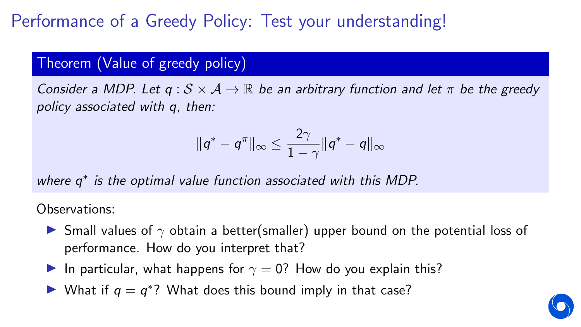Performance of a Greedy Policy: Test your understanding!

#### Theorem (Value of greedy policy)

Consider a MDP. Let  $q : S \times A \rightarrow \mathbb{R}$  be an arbitrary function and let  $\pi$  be the greedy policy associated with q, then:

$$
\|q^* - q^\pi\|_\infty \leq \frac{2\gamma}{1-\gamma} \|q^* - q\|_\infty
$$

where  $q^*$  is the optimal value function associated with this MDP.

Observations:

- **If** Small values of  $\gamma$  obtain a better(smaller) upper bound on the potential loss of performance. How do you interpret that?
- In particular, what happens for  $\gamma = 0$ ? How do you explain this?
- ▶ What if  $q = q^*$ ? What does this bound imply in that case?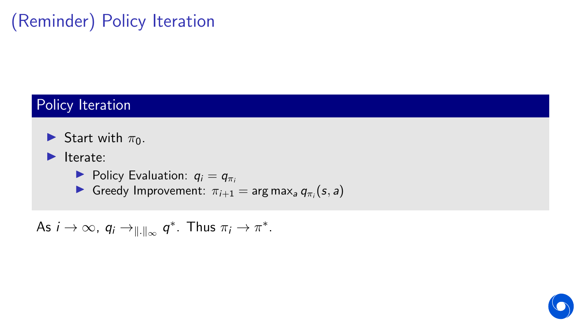# (Reminder) Policy Iteration

## Policy Iteration

- Start with  $\pi_0$ .
- $\blacktriangleright$  Iterate:
	- $\blacktriangleright$  Policy Evaluation:  $q_i = q_{\pi i}$
	- **Greedy Improvement:**  $\pi_{i+1} = \arg \max_a q_{\pi_i}(s, a)$

As  $i \to \infty$ ,  $q_i \to_{\|\cdot\|_{\infty}} q^*$ . Thus  $\pi_i \to \pi^*$ .

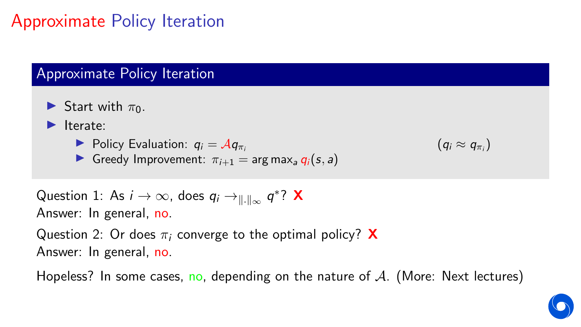# Approximate Policy Iteration

## Approximate Policy Iteration

- Start with  $\pi_0$ .
- $\blacktriangleright$  Iterate:
	- $\blacktriangleright$  Policy Evaluation:  $q_i = \mathcal{A}q_{\pi i}$
	- **If** Greedy Improvement:  $\pi_{i+1} = \arg \max_a q_i(s, a)$

$$
(q_i \approx q_{\pi_i})
$$

```
Question 1: As i\to\infty, does q_i\to_{\|\cdot\|_\infty} q^* ? X
Answer: In general, no.
```
Question 2: Or does  $\pi_i$  converge to the optimal policy? **X** Answer: In general, no.

Hopeless? In some cases, no, depending on the nature of  $A$ . (More: Next lectures)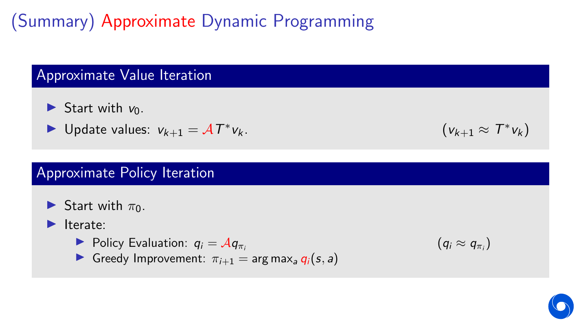(Summary) Approximate Dynamic Programming

## Approximate Value Iteration

- $\triangleright$  Start with  $v_0$ .
- ► Update values:  $v_{k+1} = \mathcal{A}T^*$

## Approximate Policy Iteration

Start with  $\pi_0$ .

### $\blacktriangleright$  Iterate:

- $\blacktriangleright$  Policy Evaluation:  $q_i = \mathcal{A}q_{\pi i}$
- **If** Greedy Improvement:  $\pi_{i+1} = \arg \max_a q_i(s, a)$

$$
V_k. \t\t\t (V_{k+1} \approx T^*V_k)
$$

$$
(q_i \approx q_{\pi_i})
$$